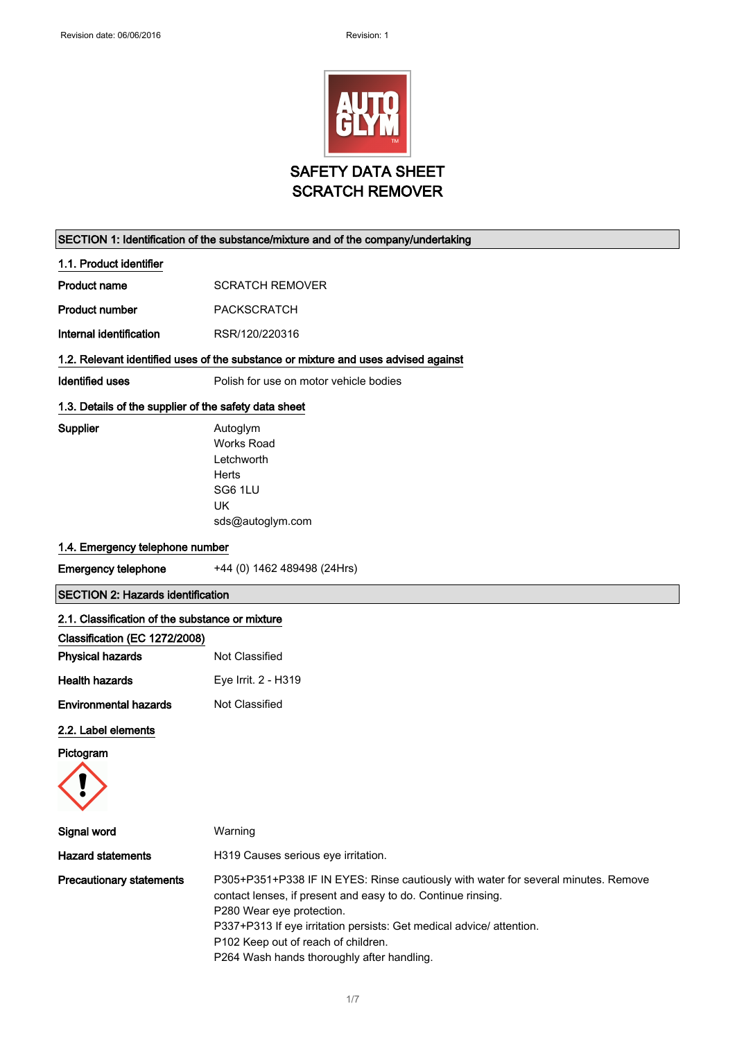

### SECTION 1: Identification of the substance/mixture and of the company/undertaking

1.1. Product identifier

| Product name | <b>SCRATCH REMOVER</b> |
|--------------|------------------------|
|              |                        |

Product number PACKSCRATCH

Internal identification RSR/120/220316

### 1.2. Relevant identified uses of the substance or mixture and uses advised against

Works Road

Identified uses **Polish for use on motor vehicle bodies** 

### 1.3. Details of the supplier of the safety data sheet

Supplier **Autoglym** 

Letchworth Herts SG6 1LU UK

sds@autoglym.com

### 1.4. Emergency telephone number

Emergency telephone +44 (0) 1462 489498 (24Hrs)

### SECTION 2: Hazards identification

### 2.1. Classification of the substance or mixture

| Classification (EC 1272/2008) |                     |
|-------------------------------|---------------------|
| <b>Physical hazards</b>       | Not Classified      |
| Health hazards                | Eye Irrit. 2 - H319 |
| <b>Environmental hazards</b>  | Not Classified      |

### 2.2. Label elements

Pictogram



| Signal word                     | Warning                                                                                                                                                                                                                                                                                                                                     |
|---------------------------------|---------------------------------------------------------------------------------------------------------------------------------------------------------------------------------------------------------------------------------------------------------------------------------------------------------------------------------------------|
| <b>Hazard statements</b>        | H319 Causes serious eye irritation.                                                                                                                                                                                                                                                                                                         |
| <b>Precautionary statements</b> | P305+P351+P338 IF IN EYES: Rinse cautiously with water for several minutes. Remove<br>contact lenses, if present and easy to do. Continue rinsing.<br>P280 Wear eye protection.<br>P337+P313 If eye irritation persists: Get medical advice/attention.<br>P102 Keep out of reach of children.<br>P264 Wash hands thoroughly after handling. |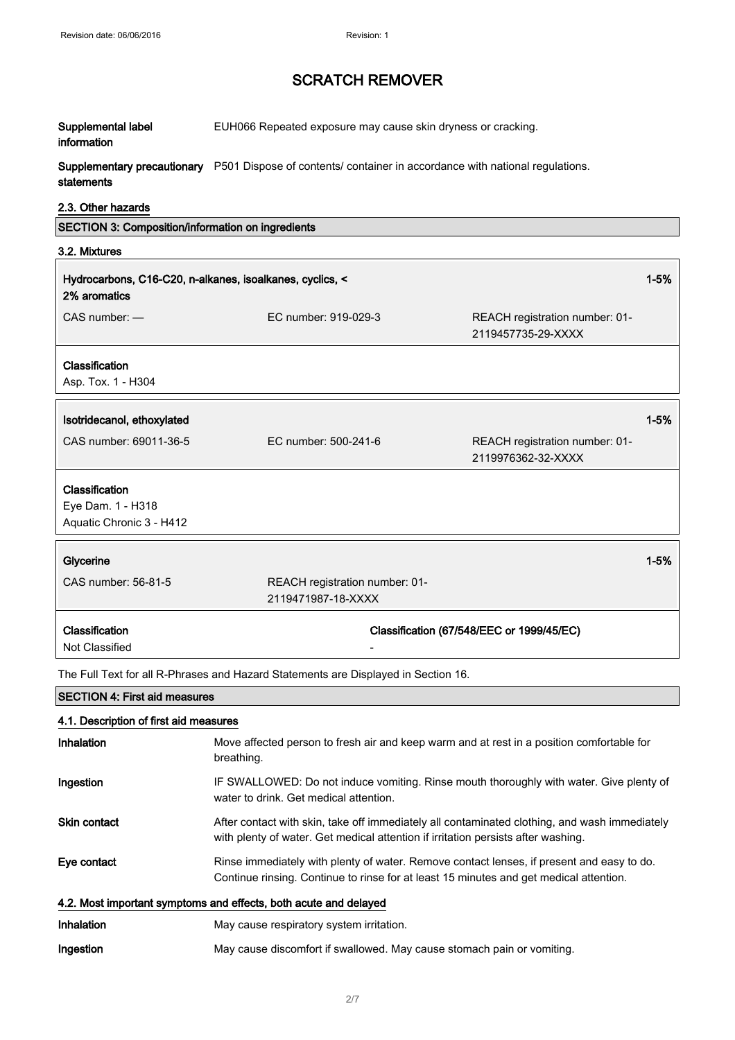| Supplemental label<br>information                                        | EUH066 Repeated exposure may cause skin dryness or cracking.                                                                                                                        |                                                      |  |
|--------------------------------------------------------------------------|-------------------------------------------------------------------------------------------------------------------------------------------------------------------------------------|------------------------------------------------------|--|
| statements                                                               | Supplementary precautionary P501 Dispose of contents/ container in accordance with national regulations.                                                                            |                                                      |  |
| 2.3. Other hazards                                                       |                                                                                                                                                                                     |                                                      |  |
| SECTION 3: Composition/information on ingredients                        |                                                                                                                                                                                     |                                                      |  |
| 3.2. Mixtures                                                            |                                                                                                                                                                                     |                                                      |  |
| Hydrocarbons, C16-C20, n-alkanes, isoalkanes, cyclics, <<br>2% aromatics |                                                                                                                                                                                     | $1 - 5%$                                             |  |
| CAS number: -                                                            | EC number: 919-029-3                                                                                                                                                                | REACH registration number: 01-<br>2119457735-29-XXXX |  |
| Classification<br>Asp. Tox. 1 - H304                                     |                                                                                                                                                                                     |                                                      |  |
| Isotridecanol, ethoxylated                                               |                                                                                                                                                                                     | $1 - 5%$                                             |  |
| CAS number: 69011-36-5                                                   | EC number: 500-241-6                                                                                                                                                                | REACH registration number: 01-<br>2119976362-32-XXXX |  |
| Classification<br>Eye Dam. 1 - H318<br>Aquatic Chronic 3 - H412          |                                                                                                                                                                                     |                                                      |  |
|                                                                          |                                                                                                                                                                                     |                                                      |  |
|                                                                          |                                                                                                                                                                                     |                                                      |  |
| Glycerine<br>CAS number: 56-81-5                                         | REACH registration number: 01-<br>2119471987-18-XXXX                                                                                                                                | $1 - 5%$                                             |  |
| Classification<br>Not Classified                                         |                                                                                                                                                                                     | Classification (67/548/EEC or 1999/45/EC)            |  |
|                                                                          | The Full Text for all R-Phrases and Hazard Statements are Displayed in Section 16.                                                                                                  |                                                      |  |
| <b>SECTION 4: First aid measures</b>                                     |                                                                                                                                                                                     |                                                      |  |
| 4.1. Description of first aid measures                                   |                                                                                                                                                                                     |                                                      |  |
| <b>Inhalation</b>                                                        | Move affected person to fresh air and keep warm and at rest in a position comfortable for<br>breathing.                                                                             |                                                      |  |
| Ingestion                                                                | IF SWALLOWED: Do not induce vomiting. Rinse mouth thoroughly with water. Give plenty of<br>water to drink. Get medical attention.                                                   |                                                      |  |
| <b>Skin contact</b>                                                      | After contact with skin, take off immediately all contaminated clothing, and wash immediately<br>with plenty of water. Get medical attention if irritation persists after washing.  |                                                      |  |
| Eye contact                                                              | Rinse immediately with plenty of water. Remove contact lenses, if present and easy to do.<br>Continue rinsing. Continue to rinse for at least 15 minutes and get medical attention. |                                                      |  |
|                                                                          | 4.2. Most important symptoms and effects, both acute and delayed                                                                                                                    |                                                      |  |
| <b>Inhalation</b>                                                        | May cause respiratory system irritation.                                                                                                                                            |                                                      |  |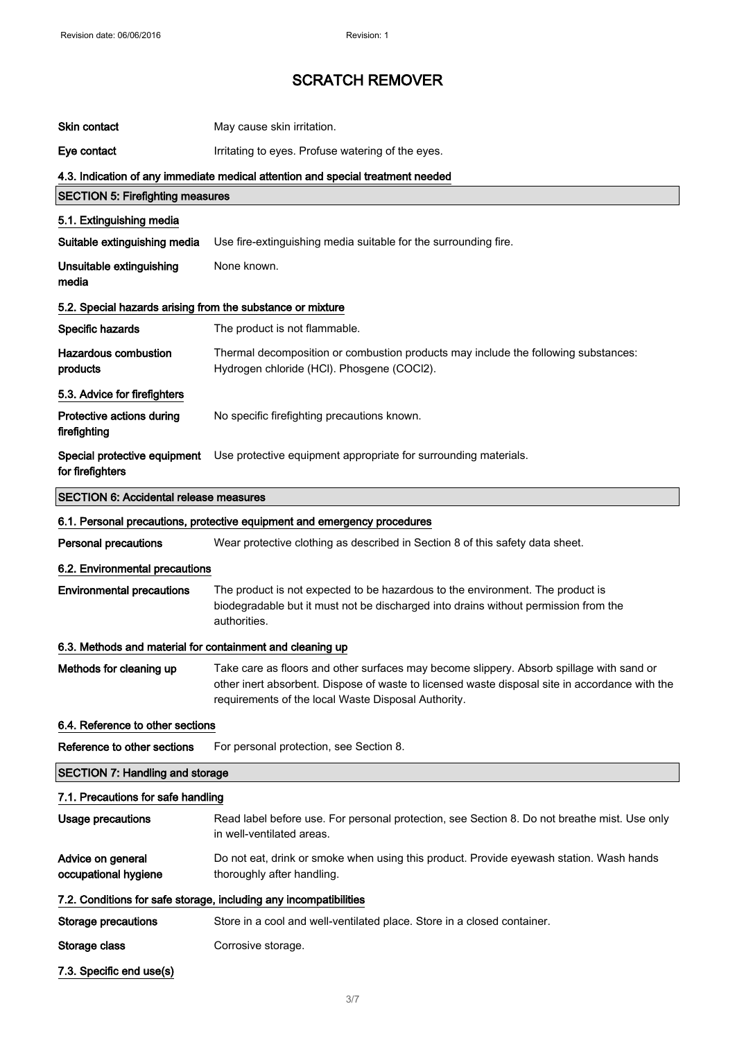| Skin contact                                               | May cause skin irritation.                                                                                                                                                                                                                        |
|------------------------------------------------------------|---------------------------------------------------------------------------------------------------------------------------------------------------------------------------------------------------------------------------------------------------|
| Eye contact                                                | Irritating to eyes. Profuse watering of the eyes.                                                                                                                                                                                                 |
|                                                            | 4.3. Indication of any immediate medical attention and special treatment needed                                                                                                                                                                   |
| <b>SECTION 5: Firefighting measures</b>                    |                                                                                                                                                                                                                                                   |
| 5.1. Extinguishing media                                   |                                                                                                                                                                                                                                                   |
| Suitable extinguishing media                               | Use fire-extinguishing media suitable for the surrounding fire.                                                                                                                                                                                   |
| Unsuitable extinguishing<br>media                          | None known.                                                                                                                                                                                                                                       |
| 5.2. Special hazards arising from the substance or mixture |                                                                                                                                                                                                                                                   |
| Specific hazards                                           | The product is not flammable.                                                                                                                                                                                                                     |
| <b>Hazardous combustion</b><br>products                    | Thermal decomposition or combustion products may include the following substances:<br>Hydrogen chloride (HCl). Phosgene (COCl2).                                                                                                                  |
| 5.3. Advice for firefighters                               |                                                                                                                                                                                                                                                   |
| Protective actions during<br>firefighting                  | No specific firefighting precautions known.                                                                                                                                                                                                       |
| Special protective equipment<br>for firefighters           | Use protective equipment appropriate for surrounding materials.                                                                                                                                                                                   |
| <b>SECTION 6: Accidental release measures</b>              |                                                                                                                                                                                                                                                   |
|                                                            | 6.1. Personal precautions, protective equipment and emergency procedures                                                                                                                                                                          |
| <b>Personal precautions</b>                                | Wear protective clothing as described in Section 8 of this safety data sheet.                                                                                                                                                                     |
| 6.2. Environmental precautions                             |                                                                                                                                                                                                                                                   |
| <b>Environmental precautions</b>                           | The product is not expected to be hazardous to the environment. The product is<br>biodegradable but it must not be discharged into drains without permission from the<br>authorities.                                                             |
| 6.3. Methods and material for containment and cleaning up  |                                                                                                                                                                                                                                                   |
| Methods for cleaning up                                    | Take care as floors and other surfaces may become slippery. Absorb spillage with sand or<br>other inert absorbent. Dispose of waste to licensed waste disposal site in accordance with the<br>requirements of the local Waste Disposal Authority. |
| 6.4. Reference to other sections                           |                                                                                                                                                                                                                                                   |
| Reference to other sections                                | For personal protection, see Section 8.                                                                                                                                                                                                           |
| <b>SECTION 7: Handling and storage</b>                     |                                                                                                                                                                                                                                                   |
| 7.1. Precautions for safe handling                         |                                                                                                                                                                                                                                                   |
| <b>Usage precautions</b>                                   | Read label before use. For personal protection, see Section 8. Do not breathe mist. Use only<br>in well-ventilated areas.                                                                                                                         |
| Advice on general<br>occupational hygiene                  | Do not eat, drink or smoke when using this product. Provide eyewash station. Wash hands<br>thoroughly after handling.                                                                                                                             |
|                                                            | 7.2. Conditions for safe storage, including any incompatibilities                                                                                                                                                                                 |
| Storage precautions                                        | Store in a cool and well-ventilated place. Store in a closed container.                                                                                                                                                                           |
| Storage class                                              | Corrosive storage.                                                                                                                                                                                                                                |
| 7.3. Specific end use(s)                                   |                                                                                                                                                                                                                                                   |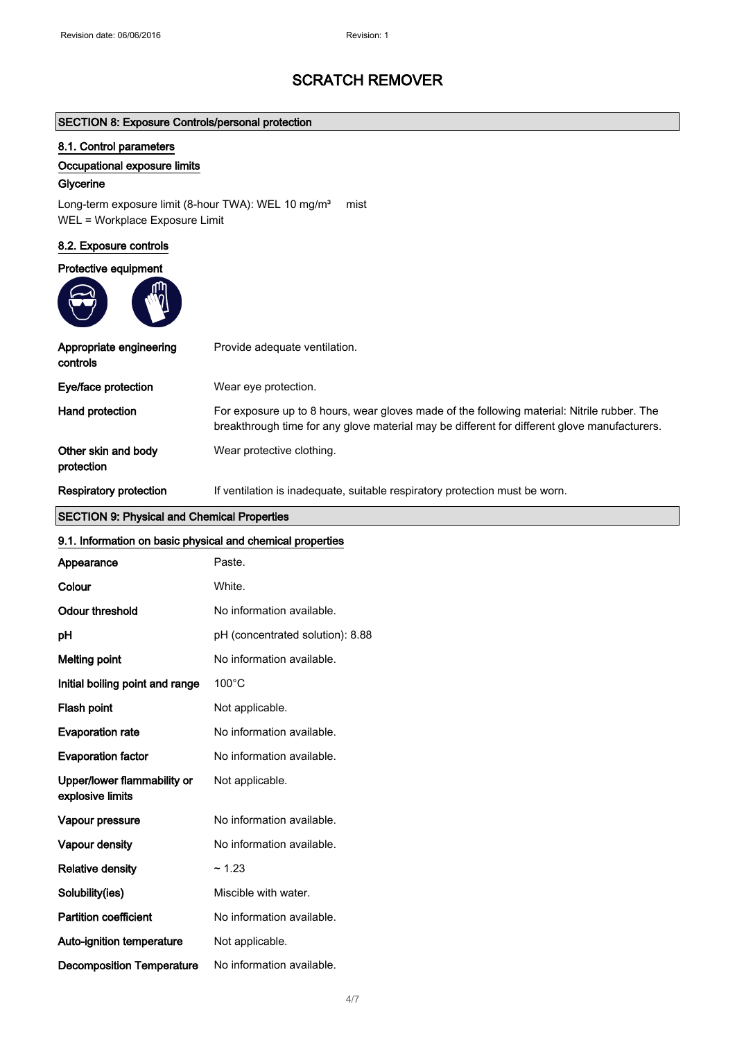### SECTION 8: Exposure Controls/personal protection

### 8.1. Control parameters

### Occupational exposure limits

### **Glycerine**

Long-term exposure limit (8-hour TWA): WEL 10 mg/m<sup>3</sup> mist WEL = Workplace Exposure Limit

### 8.2. Exposure controls

### Protective equipment



| Appropriate engineering<br>controls | Provide adequate ventilation.                                                                                                                                                               |
|-------------------------------------|---------------------------------------------------------------------------------------------------------------------------------------------------------------------------------------------|
| Eye/face protection                 | Wear eye protection.                                                                                                                                                                        |
| Hand protection                     | For exposure up to 8 hours, wear gloves made of the following material: Nitrile rubber. The<br>breakthrough time for any glove material may be different for different glove manufacturers. |
| Other skin and body<br>protection   | Wear protective clothing.                                                                                                                                                                   |
| Respiratory protection              | If ventilation is inadequate, suitable respiratory protection must be worn.                                                                                                                 |

# SECTION 9: Physical and Chemical Properties

| 9.1. Information on basic physical and chemical properties |                                  |
|------------------------------------------------------------|----------------------------------|
| Appearance                                                 | Paste.                           |
| Colour                                                     | White.                           |
| <b>Odour threshold</b>                                     | No information available.        |
| pH                                                         | pH (concentrated solution): 8.88 |
| <b>Melting point</b>                                       | No information available.        |
| Initial boiling point and range                            | $100^{\circ}$ C                  |
| Flash point                                                | Not applicable.                  |
| <b>Evaporation rate</b>                                    | No information available.        |
| <b>Evaporation factor</b>                                  | No information available.        |
| Upper/lower flammability or<br>explosive limits            | Not applicable.                  |
| Vapour pressure                                            | No information available.        |
| Vapour density                                             | No information available.        |
| <b>Relative density</b>                                    | ~1.23                            |
| Solubility(ies)                                            | Miscible with water.             |
| <b>Partition coefficient</b>                               | No information available.        |
| Auto-ignition temperature                                  | Not applicable.                  |
| <b>Decomposition Temperature</b>                           | No information available.        |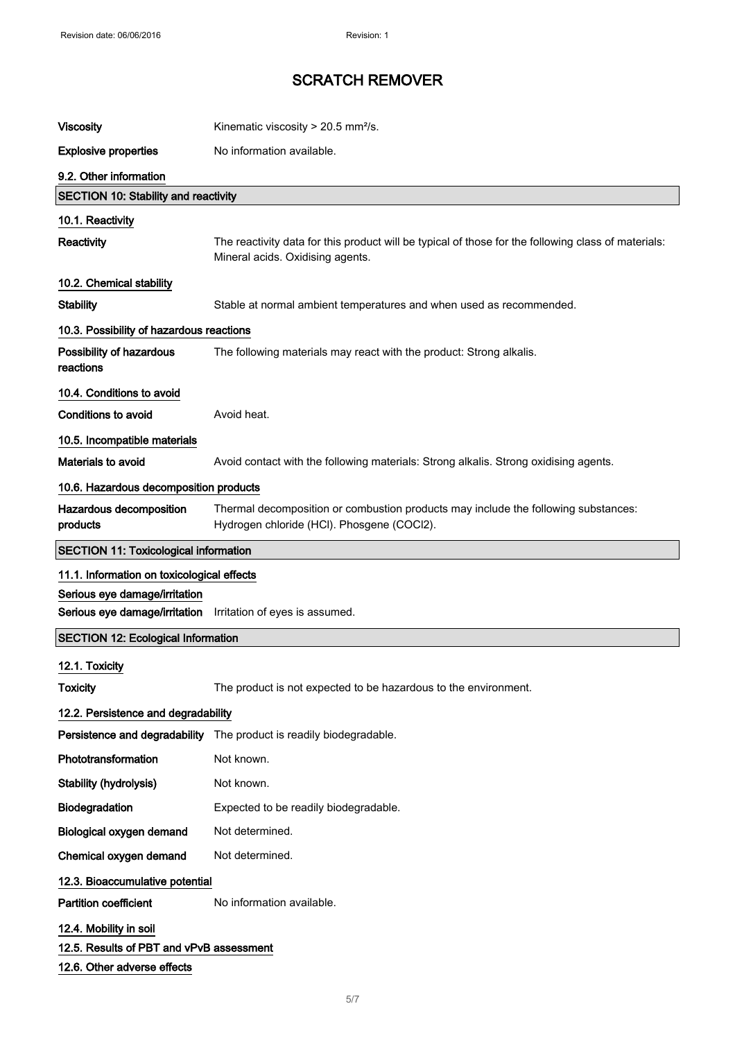| <b>Viscosity</b>                                                                                  | Kinematic viscosity > 20.5 mm <sup>2</sup> /s.                                                                                          |
|---------------------------------------------------------------------------------------------------|-----------------------------------------------------------------------------------------------------------------------------------------|
| <b>Explosive properties</b>                                                                       | No information available.                                                                                                               |
| 9.2. Other information                                                                            |                                                                                                                                         |
| <b>SECTION 10: Stability and reactivity</b>                                                       |                                                                                                                                         |
| 10.1. Reactivity                                                                                  |                                                                                                                                         |
| Reactivity                                                                                        | The reactivity data for this product will be typical of those for the following class of materials:<br>Mineral acids. Oxidising agents. |
| 10.2. Chemical stability                                                                          |                                                                                                                                         |
| <b>Stability</b>                                                                                  | Stable at normal ambient temperatures and when used as recommended.                                                                     |
| 10.3. Possibility of hazardous reactions                                                          |                                                                                                                                         |
| Possibility of hazardous<br>reactions                                                             | The following materials may react with the product: Strong alkalis.                                                                     |
| 10.4. Conditions to avoid                                                                         |                                                                                                                                         |
| <b>Conditions to avoid</b>                                                                        | Avoid heat.                                                                                                                             |
| 10.5. Incompatible materials                                                                      |                                                                                                                                         |
| Materials to avoid                                                                                | Avoid contact with the following materials: Strong alkalis. Strong oxidising agents.                                                    |
| 10.6. Hazardous decomposition products                                                            |                                                                                                                                         |
| Hazardous decomposition<br>products                                                               | Thermal decomposition or combustion products may include the following substances:<br>Hydrogen chloride (HCl). Phosgene (COCl2).        |
| <b>SECTION 11: Toxicological information</b>                                                      |                                                                                                                                         |
| 11.1. Information on toxicological effects                                                        |                                                                                                                                         |
| Serious eye damage/irritation<br>Serious eye damage/irritation Irritation of eyes is assumed.     |                                                                                                                                         |
| <b>SECTION 12: Ecological Information</b>                                                         |                                                                                                                                         |
| 12.1. Toxicity<br><b>Toxicity</b>                                                                 | The product is not expected to be hazardous to the environment.                                                                         |
|                                                                                                   |                                                                                                                                         |
| 12.2. Persistence and degradability                                                               | Persistence and degradability The product is readily biodegradable.                                                                     |
| Phototransformation                                                                               | Not known.                                                                                                                              |
| Stability (hydrolysis)                                                                            | Not known.                                                                                                                              |
| Biodegradation                                                                                    | Expected to be readily biodegradable.                                                                                                   |
| Biological oxygen demand                                                                          | Not determined.                                                                                                                         |
| Chemical oxygen demand                                                                            | Not determined.                                                                                                                         |
| 12.3. Bioaccumulative potential                                                                   |                                                                                                                                         |
| <b>Partition coefficient</b>                                                                      | No information available.                                                                                                               |
| 12.4. Mobility in soil<br>12.5. Results of PBT and vPvB assessment<br>12.6. Other adverse effects |                                                                                                                                         |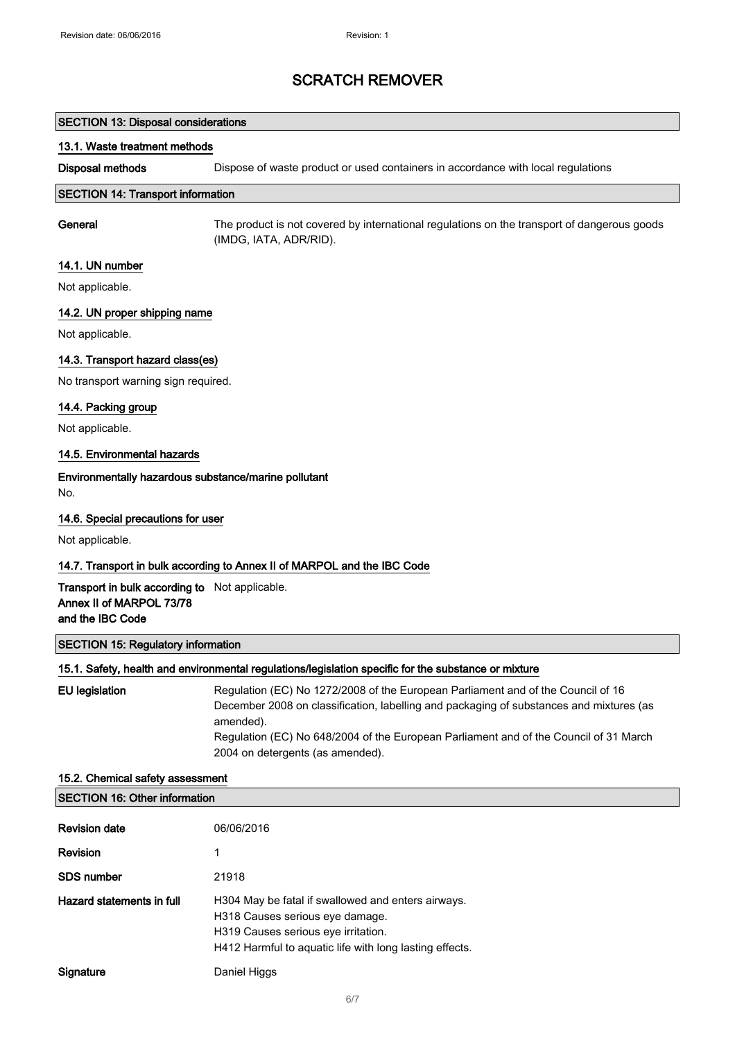### SECTION 13: Disposal considerations

### 13.1. Waste treatment methods

Disposal methods Dispose of waste product or used containers in accordance with local regulations

#### SECTION 14: Transport information

General The product is not covered by international regulations on the transport of dangerous goods (IMDG, IATA, ADR/RID).

### 14.1. UN number

Not applicable.

### 14.2. UN proper shipping name

Not applicable.

### 14.3. Transport hazard class(es)

No transport warning sign required.

### 14.4. Packing group

Not applicable.

### 14.5. Environmental hazards

### Environmentally hazardous substance/marine pollutant

No.

### 14.6. Special precautions for user

Not applicable.

### 14.7. Transport in bulk according to Annex II of MARPOL and the IBC Code

Transport in bulk according to Not applicable. Annex II of MARPOL 73/78 and the IBC Code

### SECTION 15: Regulatory information

### 15.1. Safety, health and environmental regulations/legislation specific for the substance or mixture

| EU legislation | Regulation (EC) No 1272/2008 of the European Parliament and of the Council of 16<br>December 2008 on classification, labelling and packaging of substances and mixtures (as<br>amended).<br>Regulation (EC) No 648/2004 of the European Parliament and of the Council of 31 March |
|----------------|-----------------------------------------------------------------------------------------------------------------------------------------------------------------------------------------------------------------------------------------------------------------------------------|
|                | 2004 on detergents (as amended).                                                                                                                                                                                                                                                  |

# 15.2. Chemical safety assessment SECTION 16: Other information **Revision date** 06/06/2016 Revision 1 SDS number 21918 Hazard statements in full H304 May be fatal if swallowed and enters airways. H318 Causes serious eye damage. H319 Causes serious eye irritation. H412 Harmful to aquatic life with long lasting effects. Signature Daniel Higgs